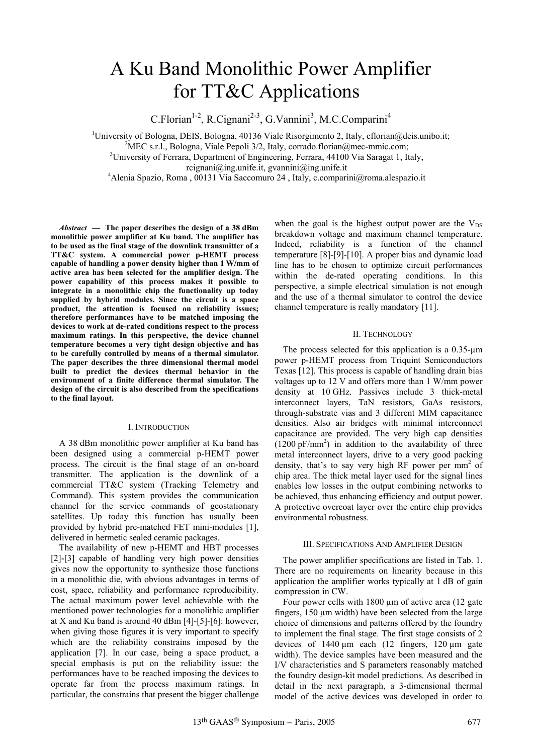# A Ku Band Monolithic Power Amplifier for TT&C Applications

C.Florian<sup>1-2</sup>, R.Cignani<sup>2-3</sup>, G.Vannini<sup>3</sup>, M.C.Comparini<sup>4</sup>

<sup>1</sup>University of Bologna, DEIS, Bologna, 40136 Viale Risorgimento 2, Italy, cflorian@deis.unibo.it; <sup>2</sup>MEC a.r. l. Bologna, Viale Repolit 3/2, Italy, corredo florian@mag mmig com: <sup>2</sup>MEC s.r.l., Bologna, Viale Pepoli 3/2, Italy, corrado.florian@mec-mmic.com;  $3$ University of Ferrara, Department of Engineering, Ferrara, 44100 Via Saragat 1, Italy, rcignani@ing.unife.it, gvannini@ing.unife.it<br>
<sup>4</sup>Alenia Spazio, Roma , 00131 Via Saccomuro 24 , Italy, c.comparini@roma.alespazio.it

*Abstract* **— The paper describes the design of a 38 dBm monolithic power amplifier at Ku band. The amplifier has to be used as the final stage of the downlink transmitter of a TT&C system. A commercial power p-HEMT process capable of handling a power density higher than 1 W/mm of active area has been selected for the amplifier design. The power capability of this process makes it possible to integrate in a monolithic chip the functionality up today supplied by hybrid modules. Since the circuit is a space product, the attention is focused on reliability issues; therefore performances have to be matched imposing the devices to work at de-rated conditions respect to the process maximum ratings. In this perspective, the device channel temperature becomes a very tight design objective and has to be carefully controlled by means of a thermal simulator. The paper describes the three dimensional thermal model built to predict the devices thermal behavior in the environment of a finite difference thermal simulator. The design of the circuit is also described from the specifications to the final layout.** 

## I. INTRODUCTION

A 38 dBm monolithic power amplifier at Ku band has been designed using a commercial p-HEMT power process. The circuit is the final stage of an on-board transmitter. The application is the downlink of a commercial TT&C system (Tracking Telemetry and Command). This system provides the communication channel for the service commands of geostationary satellites. Up today this function has usually been provided by hybrid pre-matched FET mini-modules [1], delivered in hermetic sealed ceramic packages.

The availability of new p-HEMT and HBT processes [2]-[3] capable of handling very high power densities gives now the opportunity to synthesize those functions in a monolithic die, with obvious advantages in terms of cost, space, reliability and performance reproducibility. The actual maximum power level achievable with the mentioned power technologies for a monolithic amplifier at X and Ku band is around 40 dBm [4]-[5]-[6]: however, when giving those figures it is very important to specify which are the reliability constrains imposed by the application [7]. In our case, being a space product, a special emphasis is put on the reliability issue: the performances have to be reached imposing the devices to operate far from the process maximum ratings. In particular, the constrains that present the bigger challenge

when the goal is the highest output power are the  $V_{DS}$ breakdown voltage and maximum channel temperature. Indeed, reliability is a function of the channel temperature [8]-[9]-[10]. A proper bias and dynamic load line has to be chosen to optimize circuit performances within the de-rated operating conditions. In this perspective, a simple electrical simulation is not enough and the use of a thermal simulator to control the device channel temperature is really mandatory [11].

## II. TECHNOLOGY

The process selected for this application is a 0.35-µm power p-HEMT process from Triquint Semiconductors Texas [12]. This process is capable of handling drain bias voltages up to 12 V and offers more than 1 W/mm power density at 10 GHz. Passives include 3 thick-metal interconnect layers, TaN resistors, GaAs resistors, through-substrate vias and 3 different MIM capacitance densities. Also air bridges with minimal interconnect capacitance are provided. The very high cap densities  $(1200 \text{ pF/mm}^2)$  in addition to the availability of three metal interconnect layers, drive to a very good packing density, that's to say very high RF power per mm<sup>2</sup> of chip area. The thick metal layer used for the signal lines enables low losses in the output combining networks to be achieved, thus enhancing efficiency and output power. A protective overcoat layer over the entire chip provides environmental robustness.

# III. SPECIFICATIONS AND AMPLIFIER DESIGN

The power amplifier specifications are listed in Tab. 1. There are no requirements on linearity because in this application the amplifier works typically at 1 dB of gain compression in CW.

Four power cells with 1800 µm of active area (12 gate fingers, 150 µm width) have been selected from the large choice of dimensions and patterns offered by the foundry to implement the final stage. The first stage consists of 2 devices of 1440 µm each (12 fingers, 120 µm gate width). The device samples have been measured and the I/V characteristics and S parameters reasonably matched the foundry design-kit model predictions. As described in detail in the next paragraph, a 3-dimensional thermal model of the active devices was developed in order to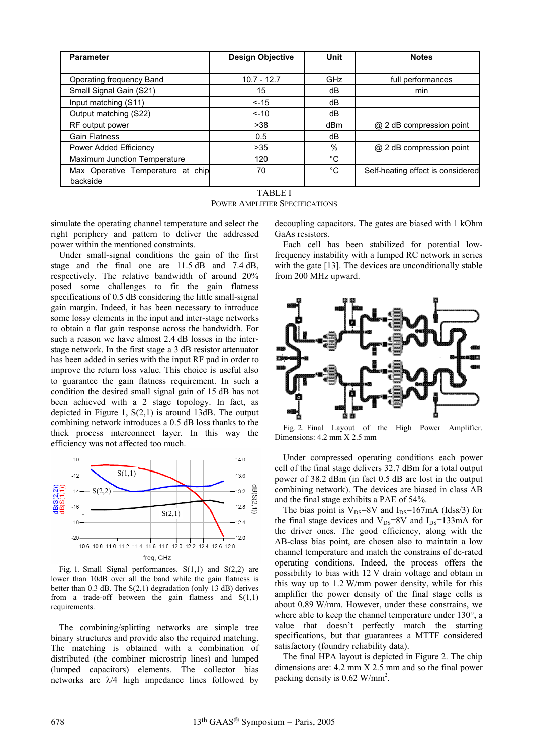| <b>Parameter</b>                              | <b>Design Objective</b> | Unit | <b>Notes</b>                      |
|-----------------------------------------------|-------------------------|------|-----------------------------------|
|                                               |                         |      |                                   |
| Operating frequency Band                      | $10.7 - 12.7$           | GHz  | full performances                 |
| Small Signal Gain (S21)                       | 15                      | dB   | min                               |
| Input matching (S11)                          | $< -15$                 | dB   |                                   |
| Output matching (S22)                         | $< -10$                 | dB   |                                   |
| RF output power                               | >38                     | dBm  | @ 2 dB compression point          |
| <b>Gain Flatness</b>                          | 0.5                     | dB   |                                   |
| Power Added Efficiency                        | >35                     | %    | @ 2 dB compression point          |
| <b>Maximum Junction Temperature</b>           | 120                     | °C   |                                   |
| Max Operative Temperature at chip<br>backside | 70                      | °C   | Self-heating effect is considered |

TABLE I POWER AMPLIFIER SPECIFICATIONS

simulate the operating channel temperature and select the right periphery and pattern to deliver the addressed power within the mentioned constraints.

Under small-signal conditions the gain of the first stage and the final one are 11.5 dB and 7.4 dB, respectively. The relative bandwidth of around 20% posed some challenges to fit the gain flatness specifications of 0.5 dB considering the little small-signal gain margin. Indeed, it has been necessary to introduce some lossy elements in the input and inter-stage networks to obtain a flat gain response across the bandwidth. For such a reason we have almost 2.4 dB losses in the interstage network. In the first stage a 3 dB resistor attenuator has been added in series with the input RF pad in order to improve the return loss value. This choice is useful also to guarantee the gain flatness requirement. In such a condition the desired small signal gain of 15 dB has not been achieved with a 2 stage topology. In fact, as depicted in Figure 1,  $S(2,1)$  is around 13dB. The output combining network introduces a 0.5 dB loss thanks to the thick process interconnect layer. In this way the efficiency was not affected too much.



Fig. 1. Small Signal performances.  $S(1,1)$  and  $S(2,2)$  are lower than 10dB over all the band while the gain flatness is better than 0.3 dB. The S(2,1) degradation (only 13 dB) derives from a trade-off between the gain flatness and  $S(1,1)$ requirements.

The combining/splitting networks are simple tree binary structures and provide also the required matching. The matching is obtained with a combination of distributed (the combiner microstrip lines) and lumped (lumped capacitors) elements. The collector bias networks are  $\lambda/4$  high impedance lines followed by

decoupling capacitors. The gates are biased with 1 kOhm GaAs resistors.

Each cell has been stabilized for potential lowfrequency instability with a lumped RC network in series with the gate [13]. The devices are unconditionally stable from 200 MHz upward.



Fig. 2. Final Layout of the High Power Amplifier. Dimensions: 4.2 mm X 2.5 mm

Under compressed operating conditions each power cell of the final stage delivers 32.7 dBm for a total output power of 38.2 dBm (in fact 0.5 dB are lost in the output combining network). The devices are biased in class AB and the final stage exhibits a PAE of 54%.

The bias point is  $V_{DS}=8V$  and  $I_{DS}=167mA$  (Idss/3) for the final stage devices and  $V_{DS}=8V$  and  $I_{DS}=133mA$  for the driver ones. The good efficiency, along with the AB-class bias point, are chosen also to maintain a low channel temperature and match the constrains of de-rated operating conditions. Indeed, the process offers the possibility to bias with 12 V drain voltage and obtain in this way up to 1.2 W/mm power density, while for this amplifier the power density of the final stage cells is about 0.89 W/mm. However, under these constrains, we where able to keep the channel temperature under 130°, a value that doesn't perfectly match the starting specifications, but that guarantees a MTTF considered satisfactory (foundry reliability data).

The final HPA layout is depicted in Figure 2. The chip dimensions are: 4.2 mm X 2.5 mm and so the final power packing density is  $0.62$  W/mm<sup>2</sup>.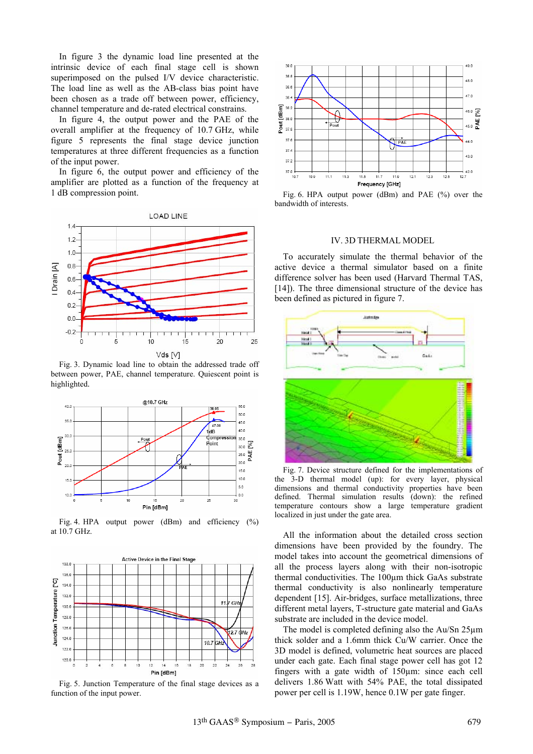In figure 3 the dynamic load line presented at the intrinsic device of each final stage cell is shown superimposed on the pulsed I/V device characteristic. The load line as well as the AB-class bias point have been chosen as a trade off between power, efficiency, channel temperature and de-rated electrical constrains.

In figure 4, the output power and the PAE of the overall amplifier at the frequency of 10.7 GHz, while figure 5 represents the final stage device junction temperatures at three different frequencies as a function of the input power.

In figure 6, the output power and efficiency of the amplifier are plotted as a function of the frequency at 1 dB compression point.



Fig. 3. Dynamic load line to obtain the addressed trade off between power, PAE, channel temperature. Quiescent point is highlighted.



Fig. 4. HPA output power (dBm) and efficiency  $(\%$ ) at 10.7 GHz.



Fig. 5. Junction Temperature of the final stage devices as a function of the input power.



Fig. 6. HPA output power (dBm) and PAE (%) over the bandwidth of interests.

#### IV. 3D THERMAL MODEL

To accurately simulate the thermal behavior of the active device a thermal simulator based on a finite difference solver has been used (Harvard Thermal TAS, [14]). The three dimensional structure of the device has been defined as pictured in figure 7.



Fig. 7. Device structure defined for the implementations of the 3-D thermal model (up): for every layer, physical dimensions and thermal conductivity properties have been defined. Thermal simulation results (down): the refined temperature contours show a large temperature gradient localized in just under the gate area.

All the information about the detailed cross section dimensions have been provided by the foundry. The model takes into account the geometrical dimensions of all the process layers along with their non-isotropic thermal conductivities. The 100µm thick GaAs substrate thermal conductivity is also nonlinearly temperature dependent [15]. Air-bridges, surface metallizations, three different metal layers, T-structure gate material and GaAs substrate are included in the device model.

The model is completed defining also the Au/Sn 25µm thick solder and a 1.6mm thick Cu/W carrier. Once the 3D model is defined, volumetric heat sources are placed under each gate. Each final stage power cell has got 12 fingers with a gate width of 150µm: since each cell delivers 1.86 Watt with 54% PAE, the total dissipated power per cell is 1.19W, hence 0.1W per gate finger.